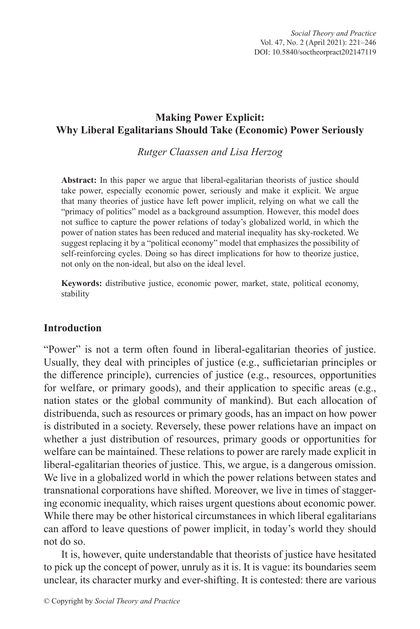## **Making Power Explicit: Why Liberal Egalitarians Should Take (Economic) Power Seriously**

*Rutger Claassen and Lisa Herzog*

**Abstract:** In this paper we argue that liberal-egalitarian theorists of justice should take power, especially economic power, seriously and make it explicit. We argue that many theories of justice have left power implicit, relying on what we call the "primacy of politics" model as a background assumption. However, this model does not suffice to capture the power relations of today's globalized world, in which the power of nation states has been reduced and material inequality has sky-rocketed. We suggest replacing it by a "political economy" model that emphasizes the possibility of self-reinforcing cycles. Doing so has direct implications for how to theorize justice, not only on the non-ideal, but also on the ideal level.

**Keywords:** distributive justice, economic power, market, state, political economy, stability

### **Introduction**

"Power" is not a term often found in liberal-egalitarian theories of justice. Usually, they deal with principles of justice (e.g., sufficietarian principles or the difference principle), currencies of justice (e.g., resources, opportunities for welfare, or primary goods), and their application to specific areas (e.g., nation states or the global community of mankind). But each allocation of distribuenda, such as resources or primary goods, has an impact on how power is distributed in a society. Reversely, these power relations have an impact on whether a just distribution of resources, primary goods or opportunities for welfare can be maintained. These relations to power are rarely made explicit in liberal-egalitarian theories of justice. This, we argue, is a dangerous omission. We live in a globalized world in which the power relations between states and transnational corporations have shifted. Moreover, we live in times of staggering economic inequality, which raises urgent questions about economic power. While there may be other historical circumstances in which liberal egalitarians can afford to leave questions of power implicit, in today's world they should not do so.

It is, however, quite understandable that theorists of justice have hesitated to pick up the concept of power, unruly as it is. It is vague: its boundaries seem unclear, its character murky and ever-shifting. It is contested: there are various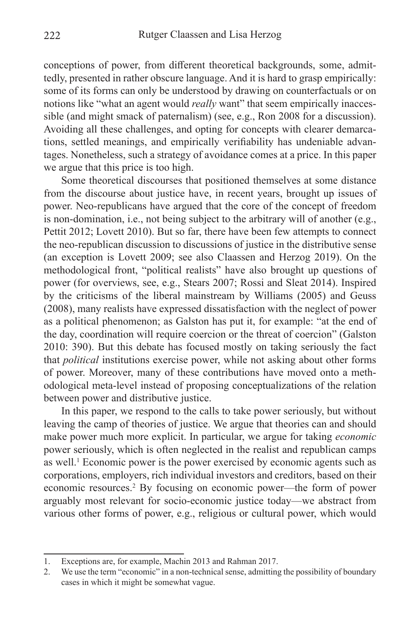conceptions of power, from different theoretical backgrounds, some, admittedly, presented in rather obscure language. And it is hard to grasp empirically: some of its forms can only be understood by drawing on counterfactuals or on notions like "what an agent would *really* want" that seem empirically inaccessible (and might smack of paternalism) (see, e.g., Ron 2008 for a discussion). Avoiding all these challenges, and opting for concepts with clearer demarcations, settled meanings, and empirically verifiability has undeniable advantages. Nonetheless, such a strategy of avoidance comes at a price. In this paper we argue that this price is too high.

Some theoretical discourses that positioned themselves at some distance from the discourse about justice have, in recent years, brought up issues of power. Neo-republicans have argued that the core of the concept of freedom is non-domination, i.e., not being subject to the arbitrary will of another (e.g., Pettit 2012; Lovett 2010). But so far, there have been few attempts to connect the neo-republican discussion to discussions of justice in the distributive sense (an exception is Lovett 2009; see also Claassen and Herzog 2019). On the methodological front, "political realists" have also brought up questions of power (for overviews, see, e.g., Stears 2007; Rossi and Sleat 2014). Inspired by the criticisms of the liberal mainstream by Williams (2005) and Geuss (2008), many realists have expressed dissatisfaction with the neglect of power as a political phenomenon; as Galston has put it, for example: "at the end of the day, coordination will require coercion or the threat of coercion" (Galston 2010: 390). But this debate has focused mostly on taking seriously the fact that *political* institutions exercise power, while not asking about other forms of power. Moreover, many of these contributions have moved onto a methodological meta-level instead of proposing conceptualizations of the relation between power and distributive justice.

In this paper, we respond to the calls to take power seriously, but without leaving the camp of theories of justice. We argue that theories can and should make power much more explicit. In particular, we argue for taking *economic*  power seriously, which is often neglected in the realist and republican camps as well.<sup>1</sup> Economic power is the power exercised by economic agents such as corporations, employers, rich individual investors and creditors, based on their economic resources.<sup>2</sup> By focusing on economic power—the form of power arguably most relevant for socio-economic justice today—we abstract from various other forms of power, e.g., religious or cultural power, which would

<sup>1.</sup> Exceptions are, for example, Machin 2013 and Rahman 2017.

<sup>2.</sup> We use the term "economic" in a non-technical sense, admitting the possibility of boundary cases in which it might be somewhat vague.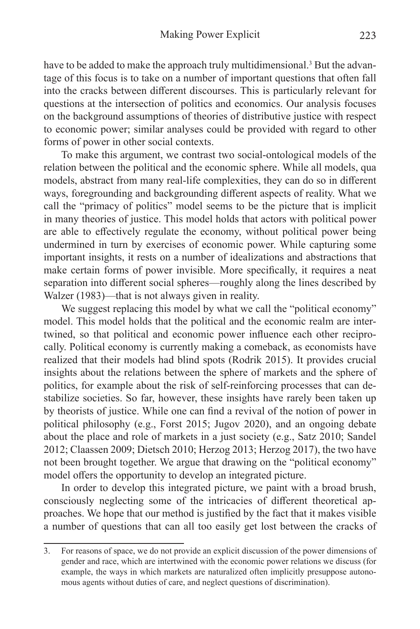have to be added to make the approach truly multidimensional.<sup>3</sup> But the advantage of this focus is to take on a number of important questions that often fall into the cracks between different discourses. This is particularly relevant for questions at the intersection of politics and economics. Our analysis focuses on the background assumptions of theories of distributive justice with respect to economic power; similar analyses could be provided with regard to other forms of power in other social contexts.

To make this argument, we contrast two social-ontological models of the relation between the political and the economic sphere. While all models, qua models, abstract from many real-life complexities, they can do so in different ways, foregrounding and backgrounding different aspects of reality. What we call the "primacy of politics" model seems to be the picture that is implicit in many theories of justice. This model holds that actors with political power are able to effectively regulate the economy, without political power being undermined in turn by exercises of economic power. While capturing some important insights, it rests on a number of idealizations and abstractions that make certain forms of power invisible. More specifically, it requires a neat separation into different social spheres—roughly along the lines described by Walzer (1983)—that is not always given in reality.

We suggest replacing this model by what we call the "political economy" model. This model holds that the political and the economic realm are intertwined, so that political and economic power influence each other reciprocally. Political economy is currently making a comeback, as economists have realized that their models had blind spots (Rodrik 2015). It provides crucial insights about the relations between the sphere of markets and the sphere of politics, for example about the risk of self-reinforcing processes that can destabilize societies. So far, however, these insights have rarely been taken up by theorists of justice. While one can find a revival of the notion of power in political philosophy (e.g., Forst 2015; Jugov 2020), and an ongoing debate about the place and role of markets in a just society (e.g., Satz 2010; Sandel 2012; Claassen 2009; Dietsch 2010; Herzog 2013; Herzog 2017), the two have not been brought together. We argue that drawing on the "political economy" model offers the opportunity to develop an integrated picture.

In order to develop this integrated picture, we paint with a broad brush, consciously neglecting some of the intricacies of different theoretical approaches. We hope that our method is justified by the fact that it makes visible a number of questions that can all too easily get lost between the cracks of

<sup>3.</sup> For reasons of space, we do not provide an explicit discussion of the power dimensions of gender and race, which are intertwined with the economic power relations we discuss (for example, the ways in which markets are naturalized often implicitly presuppose autonomous agents without duties of care, and neglect questions of discrimination).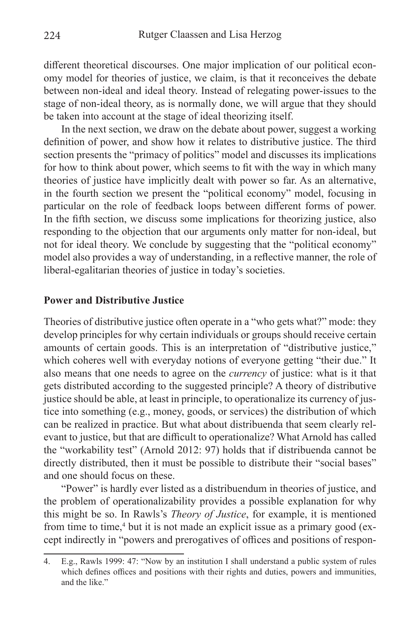different theoretical discourses. One major implication of our political economy model for theories of justice, we claim, is that it reconceives the debate between non-ideal and ideal theory. Instead of relegating power-issues to the stage of non-ideal theory, as is normally done, we will argue that they should be taken into account at the stage of ideal theorizing itself.

In the next section, we draw on the debate about power, suggest a working definition of power, and show how it relates to distributive justice. The third section presents the "primacy of politics" model and discusses its implications for how to think about power, which seems to fit with the way in which many theories of justice have implicitly dealt with power so far. As an alternative, in the fourth section we present the "political economy" model, focusing in particular on the role of feedback loops between different forms of power. In the fifth section, we discuss some implications for theorizing justice, also responding to the objection that our arguments only matter for non-ideal, but not for ideal theory. We conclude by suggesting that the "political economy" model also provides a way of understanding, in a reflective manner, the role of liberal-egalitarian theories of justice in today's societies.

#### **Power and Distributive Justice**

Theories of distributive justice often operate in a "who gets what?" mode: they develop principles for why certain individuals or groups should receive certain amounts of certain goods. This is an interpretation of "distributive justice," which coheres well with everyday notions of everyone getting "their due." It also means that one needs to agree on the *currency* of justice: what is it that gets distributed according to the suggested principle? A theory of distributive justice should be able, at least in principle, to operationalize its currency of justice into something (e.g., money, goods, or services) the distribution of which can be realized in practice. But what about distribuenda that seem clearly relevant to justice, but that are difficult to operationalize? What Arnold has called the "workability test" (Arnold 2012: 97) holds that if distribuenda cannot be directly distributed, then it must be possible to distribute their "social bases" and one should focus on these.

"Power" is hardly ever listed as a distribuendum in theories of justice, and the problem of operationalizability provides a possible explanation for why this might be so. In Rawls's *Theory of Justice*, for example, it is mentioned from time to time,<sup>4</sup> but it is not made an explicit issue as a primary good (except indirectly in "powers and prerogatives of offices and positions of respon-

<sup>4.</sup> E.g., Rawls 1999: 47: "Now by an institution I shall understand a public system of rules which defines offices and positions with their rights and duties, powers and immunities, and the like."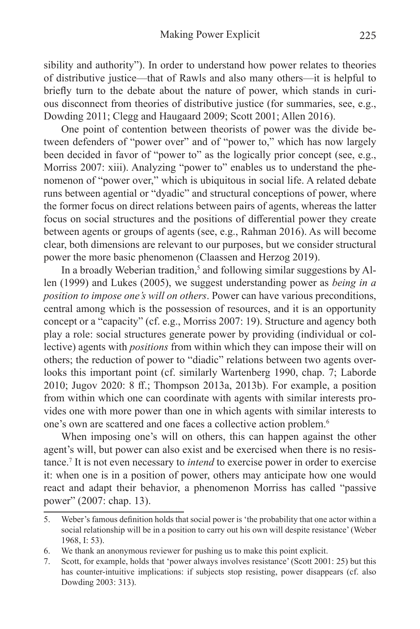sibility and authority"). In order to understand how power relates to theories of distributive justice—that of Rawls and also many others—it is helpful to briefly turn to the debate about the nature of power, which stands in curious disconnect from theories of distributive justice (for summaries, see, e.g., Dowding 2011; Clegg and Haugaard 2009; Scott 2001; Allen 2016).

One point of contention between theorists of power was the divide between defenders of "power over" and of "power to," which has now largely been decided in favor of "power to" as the logically prior concept (see, e.g., Morriss 2007: xiii). Analyzing "power to" enables us to understand the phenomenon of "power over," which is ubiquitous in social life. A related debate runs between agential or "dyadic" and structural conceptions of power, where the former focus on direct relations between pairs of agents, whereas the latter focus on social structures and the positions of differential power they create between agents or groups of agents (see, e.g., Rahman 2016). As will become clear, both dimensions are relevant to our purposes, but we consider structural power the more basic phenomenon (Claassen and Herzog 2019).

In a broadly Weberian tradition,<sup>5</sup> and following similar suggestions by Allen (1999) and Lukes (2005), we suggest understanding power as *being in a position to impose one's will on others*. Power can have various preconditions, central among which is the possession of resources, and it is an opportunity concept or a "capacity" (cf. e.g., Morriss 2007: 19). Structure and agency both play a role: social structures generate power by providing (individual or collective) agents with *positions* from within which they can impose their will on others; the reduction of power to "diadic" relations between two agents overlooks this important point (cf. similarly Wartenberg 1990, chap. 7; Laborde 2010; Jugov 2020: 8 ff.; Thompson 2013a, 2013b). For example, a position from within which one can coordinate with agents with similar interests provides one with more power than one in which agents with similar interests to one's own are scattered and one faces a collective action problem.<sup>6</sup>

When imposing one's will on others, this can happen against the other agent's will, but power can also exist and be exercised when there is no resistance.7 It is not even necessary to *intend* to exercise power in order to exercise it: when one is in a position of power, others may anticipate how one would react and adapt their behavior, a phenomenon Morriss has called "passive power" (2007: chap. 13).

<sup>5.</sup> Weber's famous definition holds that social power is 'the probability that one actor within a social relationship will be in a position to carry out his own will despite resistance' (Weber 1968, I: 53).

<sup>6.</sup> We thank an anonymous reviewer for pushing us to make this point explicit.

<sup>7.</sup> Scott, for example, holds that 'power always involves resistance' (Scott 2001: 25) but this has counter-intuitive implications: if subjects stop resisting, power disappears (cf. also Dowding 2003: 313).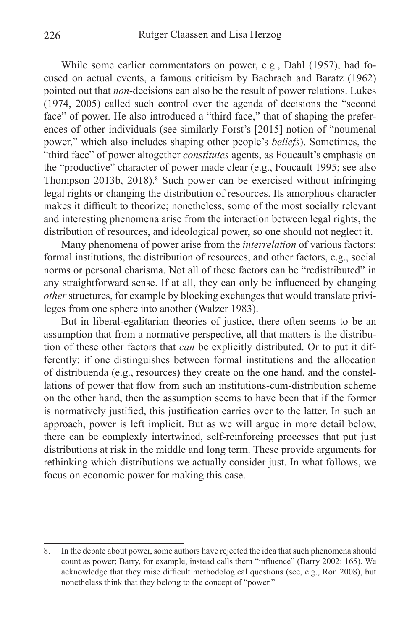While some earlier commentators on power, e.g., Dahl (1957), had focused on actual events, a famous criticism by Bachrach and Baratz (1962) pointed out that *non*-decisions can also be the result of power relations. Lukes (1974, 2005) called such control over the agenda of decisions the "second face" of power. He also introduced a "third face," that of shaping the preferences of other individuals (see similarly Forst's [2015] notion of "noumenal power," which also includes shaping other people's *beliefs*). Sometimes, the "third face" of power altogether *constitutes* agents, as Foucault's emphasis on the "productive" character of power made clear (e.g., Foucault 1995; see also Thompson 2013b, 2018).<sup>8</sup> Such power can be exercised without infringing legal rights or changing the distribution of resources. Its amorphous character makes it difficult to theorize; nonetheless, some of the most socially relevant and interesting phenomena arise from the interaction between legal rights, the distribution of resources, and ideological power, so one should not neglect it.

Many phenomena of power arise from the *interrelation* of various factors: formal institutions, the distribution of resources, and other factors, e.g., social norms or personal charisma. Not all of these factors can be "redistributed" in any straightforward sense. If at all, they can only be influenced by changing *other* structures, for example by blocking exchanges that would translate privileges from one sphere into another (Walzer 1983).

But in liberal-egalitarian theories of justice, there often seems to be an assumption that from a normative perspective, all that matters is the distribution of these other factors that *can* be explicitly distributed. Or to put it differently: if one distinguishes between formal institutions and the allocation of distribuenda (e.g., resources) they create on the one hand, and the constellations of power that flow from such an institutions-cum-distribution scheme on the other hand, then the assumption seems to have been that if the former is normatively justified, this justification carries over to the latter. In such an approach, power is left implicit. But as we will argue in more detail below, there can be complexly intertwined, self-reinforcing processes that put just distributions at risk in the middle and long term. These provide arguments for rethinking which distributions we actually consider just. In what follows, we focus on economic power for making this case.

<sup>8.</sup> In the debate about power, some authors have rejected the idea that such phenomena should count as power; Barry, for example, instead calls them "influence" (Barry 2002: 165). We acknowledge that they raise difficult methodological questions (see, e.g., Ron 2008), but nonetheless think that they belong to the concept of "power."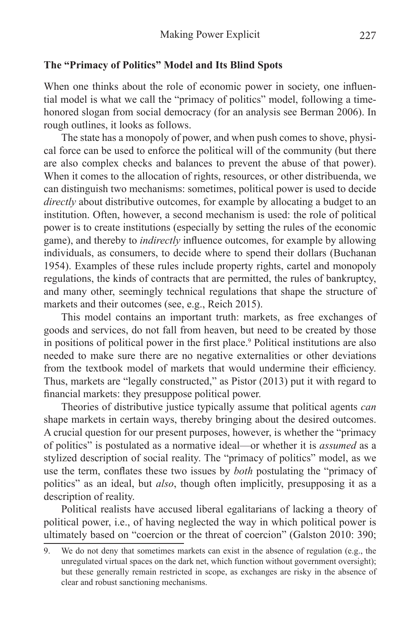## **The "Primacy of Politics" Model and Its Blind Spots**

When one thinks about the role of economic power in society, one influential model is what we call the "primacy of politics" model, following a timehonored slogan from social democracy (for an analysis see Berman 2006). In rough outlines, it looks as follows.

The state has a monopoly of power, and when push comes to shove, physical force can be used to enforce the political will of the community (but there are also complex checks and balances to prevent the abuse of that power). When it comes to the allocation of rights, resources, or other distribuenda, we can distinguish two mechanisms: sometimes, political power is used to decide *directly* about distributive outcomes, for example by allocating a budget to an institution. Often, however, a second mechanism is used: the role of political power is to create institutions (especially by setting the rules of the economic game), and thereby to *indirectly* influence outcomes, for example by allowing individuals, as consumers, to decide where to spend their dollars (Buchanan 1954). Examples of these rules include property rights, cartel and monopoly regulations, the kinds of contracts that are permitted, the rules of bankruptcy, and many other, seemingly technical regulations that shape the structure of markets and their outcomes (see, e.g., Reich 2015).

This model contains an important truth: markets, as free exchanges of goods and services, do not fall from heaven, but need to be created by those in positions of political power in the first place.<sup>9</sup> Political institutions are also needed to make sure there are no negative externalities or other deviations from the textbook model of markets that would undermine their efficiency. Thus, markets are "legally constructed," as Pistor (2013) put it with regard to financial markets: they presuppose political power.

Theories of distributive justice typically assume that political agents *can*  shape markets in certain ways, thereby bringing about the desired outcomes. A crucial question for our present purposes, however, is whether the "primacy of politics" is postulated as a normative ideal—or whether it is *assumed* as a stylized description of social reality. The "primacy of politics" model, as we use the term, conflates these two issues by *both* postulating the "primacy of politics" as an ideal, but *also*, though often implicitly, presupposing it as a description of reality.

Political realists have accused liberal egalitarians of lacking a theory of political power, i.e., of having neglected the way in which political power is ultimately based on "coercion or the threat of coercion" (Galston 2010: 390;

<sup>9.</sup> We do not deny that sometimes markets can exist in the absence of regulation (e.g., the unregulated virtual spaces on the dark net, which function without government oversight); but these generally remain restricted in scope, as exchanges are risky in the absence of clear and robust sanctioning mechanisms.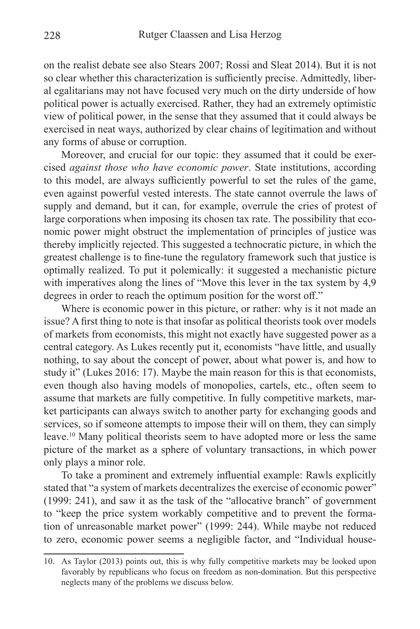on the realist debate see also Stears 2007; Rossi and Sleat 2014). But it is not so clear whether this characterization is sufficiently precise. Admittedly, liberal egalitarians may not have focused very much on the dirty underside of how political power is actually exercised. Rather, they had an extremely optimistic view of political power, in the sense that they assumed that it could always be exercised in neat ways, authorized by clear chains of legitimation and without any forms of abuse or corruption.

Moreover, and crucial for our topic: they assumed that it could be exercised *against those who have economic power*. State institutions, according to this model, are always sufficiently powerful to set the rules of the game, even against powerful vested interests. The state cannot overrule the laws of supply and demand, but it can, for example, overrule the cries of protest of large corporations when imposing its chosen tax rate. The possibility that economic power might obstruct the implementation of principles of justice was thereby implicitly rejected. This suggested a technocratic picture, in which the greatest challenge is to fine-tune the regulatory framework such that justice is optimally realized. To put it polemically: it suggested a mechanistic picture with imperatives along the lines of "Move this lever in the tax system by 4,9 degrees in order to reach the optimum position for the worst off."

Where is economic power in this picture, or rather: why is it not made an issue? A first thing to note is that insofar as political theorists took over models of markets from economists, this might not exactly have suggested power as a central category. As Lukes recently put it, economists "have little, and usually nothing, to say about the concept of power, about what power is, and how to study it" (Lukes 2016: 17). Maybe the main reason for this is that economists, even though also having models of monopolies, cartels, etc., often seem to assume that markets are fully competitive. In fully competitive markets, market participants can always switch to another party for exchanging goods and services, so if someone attempts to impose their will on them, they can simply leave.10 Many political theorists seem to have adopted more or less the same picture of the market as a sphere of voluntary transactions, in which power only plays a minor role.

To take a prominent and extremely influential example: Rawls explicitly stated that "a system of markets decentralizes the exercise of economic power" (1999: 241), and saw it as the task of the "allocative branch" of government to "keep the price system workably competitive and to prevent the formation of unreasonable market power" (1999: 244). While maybe not reduced to zero, economic power seems a negligible factor, and "Individual house-

<sup>10.</sup> As Taylor (2013) points out, this is why fully competitive markets may be looked upon favorably by republicans who focus on freedom as non-domination. But this perspective neglects many of the problems we discuss below.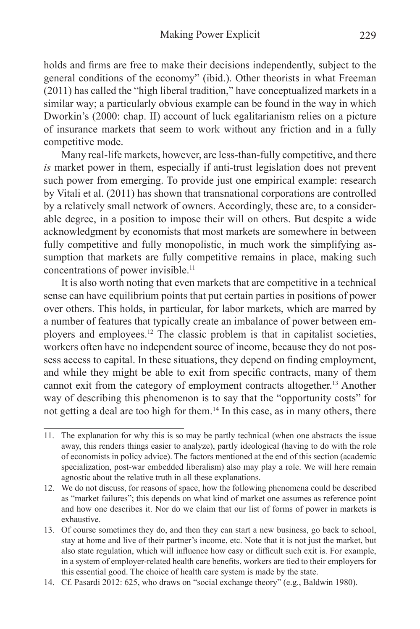holds and firms are free to make their decisions independently, subject to the general conditions of the economy" (ibid.). Other theorists in what Freeman (2011) has called the "high liberal tradition," have conceptualized markets in a similar way; a particularly obvious example can be found in the way in which Dworkin's (2000: chap. II) account of luck egalitarianism relies on a picture of insurance markets that seem to work without any friction and in a fully competitive mode.

Many real-life markets, however, are less-than-fully competitive, and there *is* market power in them, especially if anti-trust legislation does not prevent such power from emerging. To provide just one empirical example: research by Vitali et al. (2011) has shown that transnational corporations are controlled by a relatively small network of owners. Accordingly, these are, to a considerable degree, in a position to impose their will on others. But despite a wide acknowledgment by economists that most markets are somewhere in between fully competitive and fully monopolistic, in much work the simplifying assumption that markets are fully competitive remains in place, making such concentrations of power invisible.<sup>11</sup>

It is also worth noting that even markets that are competitive in a technical sense can have equilibrium points that put certain parties in positions of power over others. This holds, in particular, for labor markets, which are marred by a number of features that typically create an imbalance of power between employers and employees.12 The classic problem is that in capitalist societies, workers often have no independent source of income, because they do not possess access to capital. In these situations, they depend on finding employment, and while they might be able to exit from specific contracts, many of them cannot exit from the category of employment contracts altogether.13 Another way of describing this phenomenon is to say that the "opportunity costs" for not getting a deal are too high for them.<sup>14</sup> In this case, as in many others, there

<sup>11.</sup> The explanation for why this is so may be partly technical (when one abstracts the issue away, this renders things easier to analyze), partly ideological (having to do with the role of economists in policy advice). The factors mentioned at the end of this section (academic specialization, post-war embedded liberalism) also may play a role. We will here remain agnostic about the relative truth in all these explanations.

<sup>12.</sup> We do not discuss, for reasons of space, how the following phenomena could be described as "market failures"; this depends on what kind of market one assumes as reference point and how one describes it. Nor do we claim that our list of forms of power in markets is exhaustive.

<sup>13.</sup> Of course sometimes they do, and then they can start a new business, go back to school, stay at home and live of their partner's income, etc. Note that it is not just the market, but also state regulation, which will influence how easy or difficult such exit is. For example, in a system of employer-related health care benefits, workers are tied to their employers for this essential good. The choice of health care system is made by the state.

<sup>14.</sup> Cf. Pasardi 2012: 625, who draws on "social exchange theory" (e.g., Baldwin 1980).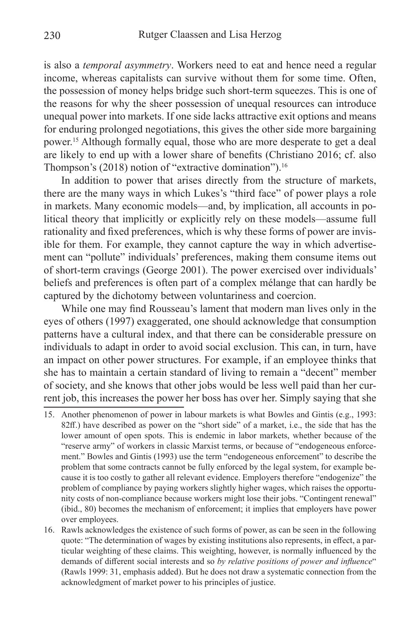is also a *temporal asymmetry*. Workers need to eat and hence need a regular income, whereas capitalists can survive without them for some time. Often, the possession of money helps bridge such short-term squeezes. This is one of the reasons for why the sheer possession of unequal resources can introduce unequal power into markets. If one side lacks attractive exit options and means for enduring prolonged negotiations, this gives the other side more bargaining power.15 Although formally equal, those who are more desperate to get a deal are likely to end up with a lower share of benefits (Christiano 2016; cf. also Thompson's  $(2018)$  notion of "extractive domination").<sup>16</sup>

In addition to power that arises directly from the structure of markets, there are the many ways in which Lukes's "third face" of power plays a role in markets. Many economic models—and, by implication, all accounts in political theory that implicitly or explicitly rely on these models—assume full rationality and fixed preferences, which is why these forms of power are invisible for them. For example, they cannot capture the way in which advertisement can "pollute" individuals' preferences, making them consume items out of short-term cravings (George 2001). The power exercised over individuals' beliefs and preferences is often part of a complex mélange that can hardly be captured by the dichotomy between voluntariness and coercion.

While one may find Rousseau's lament that modern man lives only in the eyes of others (1997) exaggerated, one should acknowledge that consumption patterns have a cultural index, and that there can be considerable pressure on individuals to adapt in order to avoid social exclusion. This can, in turn, have an impact on other power structures. For example, if an employee thinks that she has to maintain a certain standard of living to remain a "decent" member of society, and she knows that other jobs would be less well paid than her current job, this increases the power her boss has over her. Simply saying that she

- 15. Another phenomenon of power in labour markets is what Bowles and Gintis (e.g., 1993: 82ff.) have described as power on the "short side" of a market, i.e., the side that has the lower amount of open spots. This is endemic in labor markets, whether because of the "reserve army" of workers in classic Marxist terms, or because of "endogeneous enforcement." Bowles and Gintis (1993) use the term "endogeneous enforcement" to describe the problem that some contracts cannot be fully enforced by the legal system, for example because it is too costly to gather all relevant evidence. Employers therefore "endogenize" the problem of compliance by paying workers slightly higher wages, which raises the opportunity costs of non-compliance because workers might lose their jobs. "Contingent renewal" (ibid., 80) becomes the mechanism of enforcement; it implies that employers have power over employees.
- 16. Rawls acknowledges the existence of such forms of power, as can be seen in the following quote: "The determination of wages by existing institutions also represents, in effect, a particular weighting of these claims. This weighting, however, is normally influenced by the demands of different social interests and so *by relative positions of power and influence*" (Rawls 1999: 31, emphasis added). But he does not draw a systematic connection from the acknowledgment of market power to his principles of justice.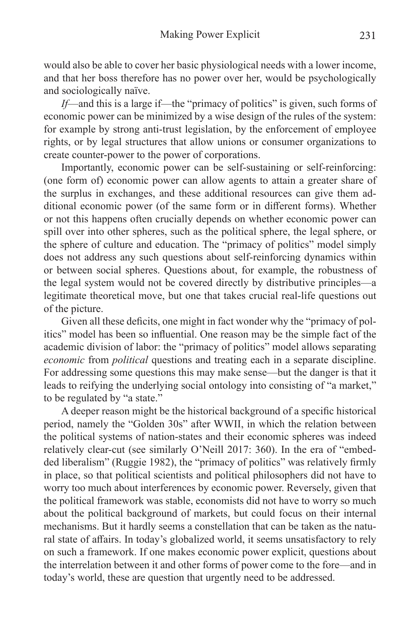would also be able to cover her basic physiological needs with a lower income, and that her boss therefore has no power over her, would be psychologically and sociologically naïve.

*If*—and this is a large if—the "primacy of politics" is given, such forms of economic power can be minimized by a wise design of the rules of the system: for example by strong anti-trust legislation, by the enforcement of employee rights, or by legal structures that allow unions or consumer organizations to create counter-power to the power of corporations.

Importantly, economic power can be self-sustaining or self-reinforcing: (one form of) economic power can allow agents to attain a greater share of the surplus in exchanges, and these additional resources can give them additional economic power (of the same form or in different forms). Whether or not this happens often crucially depends on whether economic power can spill over into other spheres, such as the political sphere, the legal sphere, or the sphere of culture and education. The "primacy of politics" model simply does not address any such questions about self-reinforcing dynamics within or between social spheres. Questions about, for example, the robustness of the legal system would not be covered directly by distributive principles—a legitimate theoretical move, but one that takes crucial real-life questions out of the picture.

Given all these deficits, one might in fact wonder why the "primacy of politics" model has been so influential. One reason may be the simple fact of the academic division of labor: the "primacy of politics" model allows separating *economic* from *political* questions and treating each in a separate discipline. For addressing some questions this may make sense—but the danger is that it leads to reifying the underlying social ontology into consisting of "a market," to be regulated by "a state."

A deeper reason might be the historical background of a specific historical period, namely the "Golden 30s" after WWII, in which the relation between the political systems of nation-states and their economic spheres was indeed relatively clear-cut (see similarly O'Neill 2017: 360). In the era of "embedded liberalism" (Ruggie 1982), the "primacy of politics" was relatively firmly in place, so that political scientists and political philosophers did not have to worry too much about interferences by economic power. Reversely, given that the political framework was stable, economists did not have to worry so much about the political background of markets, but could focus on their internal mechanisms. But it hardly seems a constellation that can be taken as the natural state of affairs. In today's globalized world, it seems unsatisfactory to rely on such a framework. If one makes economic power explicit, questions about the interrelation between it and other forms of power come to the fore—and in today's world, these are question that urgently need to be addressed.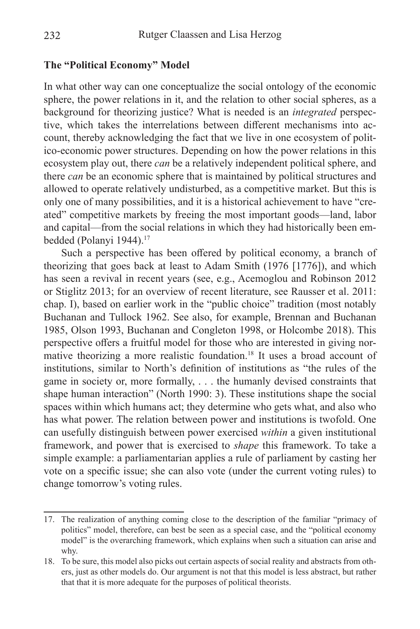#### **The "Political Economy" Model**

In what other way can one conceptualize the social ontology of the economic sphere, the power relations in it, and the relation to other social spheres, as a background for theorizing justice? What is needed is an *integrated* perspective, which takes the interrelations between different mechanisms into account, thereby acknowledging the fact that we live in one ecosystem of politico-economic power structures. Depending on how the power relations in this ecosystem play out, there *can* be a relatively independent political sphere, and there *can* be an economic sphere that is maintained by political structures and allowed to operate relatively undisturbed, as a competitive market. But this is only one of many possibilities, and it is a historical achievement to have "created" competitive markets by freeing the most important goods—land, labor and capital—from the social relations in which they had historically been embedded (Polanyi 1944).<sup>17</sup>

Such a perspective has been offered by political economy, a branch of theorizing that goes back at least to Adam Smith (1976 [1776]), and which has seen a revival in recent years (see, e.g., Acemoglou and Robinson 2012 or Stiglitz 2013; for an overview of recent literature, see Rausser et al. 2011: chap. I), based on earlier work in the "public choice" tradition (most notably Buchanan and Tullock 1962. See also, for example, Brennan and Buchanan 1985, Olson 1993, Buchanan and Congleton 1998, or Holcombe 2018). This perspective offers a fruitful model for those who are interested in giving normative theorizing a more realistic foundation.18 It uses a broad account of institutions, similar to North's definition of institutions as "the rules of the game in society or, more formally, . . . the humanly devised constraints that shape human interaction" (North 1990: 3). These institutions shape the social spaces within which humans act; they determine who gets what, and also who has what power. The relation between power and institutions is twofold. One can usefully distinguish between power exercised *within* a given institutional framework, and power that is exercised to *shape* this framework. To take a simple example: a parliamentarian applies a rule of parliament by casting her vote on a specific issue; she can also vote (under the current voting rules) to change tomorrow's voting rules.

<sup>17.</sup> The realization of anything coming close to the description of the familiar "primacy of politics" model, therefore, can best be seen as a special case, and the "political economy model" is the overarching framework, which explains when such a situation can arise and why.

<sup>18.</sup> To be sure, this model also picks out certain aspects of social reality and abstracts from others, just as other models do. Our argument is not that this model is less abstract, but rather that that it is more adequate for the purposes of political theorists.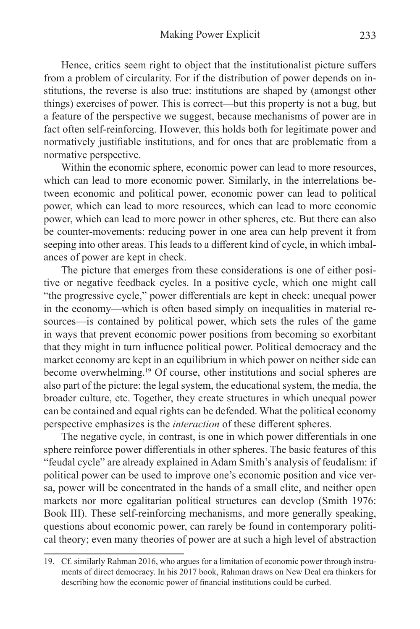Hence, critics seem right to object that the institutionalist picture suffers from a problem of circularity. For if the distribution of power depends on institutions, the reverse is also true: institutions are shaped by (amongst other things) exercises of power. This is correct—but this property is not a bug, but a feature of the perspective we suggest, because mechanisms of power are in fact often self-reinforcing. However, this holds both for legitimate power and normatively justifiable institutions, and for ones that are problematic from a normative perspective.

Within the economic sphere, economic power can lead to more resources, which can lead to more economic power. Similarly, in the interrelations between economic and political power, economic power can lead to political power, which can lead to more resources, which can lead to more economic power, which can lead to more power in other spheres, etc. But there can also be counter-movements: reducing power in one area can help prevent it from seeping into other areas. This leads to a different kind of cycle, in which imbalances of power are kept in check.

The picture that emerges from these considerations is one of either positive or negative feedback cycles. In a positive cycle, which one might call "the progressive cycle," power differentials are kept in check: unequal power in the economy—which is often based simply on inequalities in material resources—is contained by political power, which sets the rules of the game in ways that prevent economic power positions from becoming so exorbitant that they might in turn influence political power. Political democracy and the market economy are kept in an equilibrium in which power on neither side can become overwhelming.19 Of course, other institutions and social spheres are also part of the picture: the legal system, the educational system, the media, the broader culture, etc. Together, they create structures in which unequal power can be contained and equal rights can be defended. What the political economy perspective emphasizes is the *interaction* of these different spheres.

The negative cycle, in contrast, is one in which power differentials in one sphere reinforce power differentials in other spheres. The basic features of this "feudal cycle" are already explained in Adam Smith's analysis of feudalism: if political power can be used to improve one's economic position and vice versa, power will be concentrated in the hands of a small elite, and neither open markets nor more egalitarian political structures can develop (Smith 1976: Book III). These self-reinforcing mechanisms, and more generally speaking, questions about economic power, can rarely be found in contemporary political theory; even many theories of power are at such a high level of abstraction

<sup>19.</sup> Cf. similarly Rahman 2016, who argues for a limitation of economic power through instruments of direct democracy. In his 2017 book, Rahman draws on New Deal era thinkers for describing how the economic power of financial institutions could be curbed.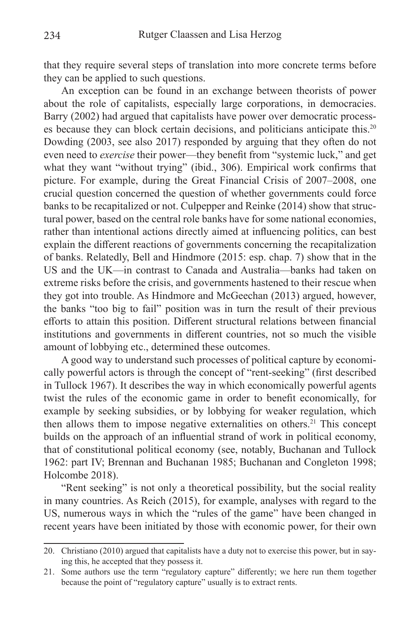that they require several steps of translation into more concrete terms before they can be applied to such questions.

An exception can be found in an exchange between theorists of power about the role of capitalists, especially large corporations, in democracies. Barry (2002) had argued that capitalists have power over democratic processes because they can block certain decisions, and politicians anticipate this.20 Dowding (2003, see also 2017) responded by arguing that they often do not even need to *exercise* their power—they benefit from "systemic luck," and get what they want "without trying" (ibid., 306). Empirical work confirms that picture. For example, during the Great Financial Crisis of 2007–2008, one crucial question concerned the question of whether governments could force banks to be recapitalized or not. Culpepper and Reinke (2014) show that structural power, based on the central role banks have for some national economies, rather than intentional actions directly aimed at influencing politics, can best explain the different reactions of governments concerning the recapitalization of banks. Relatedly, Bell and Hindmore (2015: esp. chap. 7) show that in the US and the UK—in contrast to Canada and Australia—banks had taken on extreme risks before the crisis, and governments hastened to their rescue when they got into trouble. As Hindmore and McGeechan (2013) argued, however, the banks "too big to fail" position was in turn the result of their previous efforts to attain this position. Different structural relations between financial institutions and governments in different countries, not so much the visible amount of lobbying etc., determined these outcomes.

A good way to understand such processes of political capture by economically powerful actors is through the concept of "rent-seeking" (first described in Tullock 1967). It describes the way in which economically powerful agents twist the rules of the economic game in order to benefit economically, for example by seeking subsidies, or by lobbying for weaker regulation, which then allows them to impose negative externalities on others.<sup>21</sup> This concept builds on the approach of an influential strand of work in political economy, that of constitutional political economy (see, notably, Buchanan and Tullock 1962: part IV; Brennan and Buchanan 1985; Buchanan and Congleton 1998; Holcombe 2018).

"Rent seeking" is not only a theoretical possibility, but the social reality in many countries. As Reich (2015), for example, analyses with regard to the US, numerous ways in which the "rules of the game" have been changed in recent years have been initiated by those with economic power, for their own

<sup>20.</sup> Christiano (2010) argued that capitalists have a duty not to exercise this power, but in saying this, he accepted that they possess it.

<sup>21.</sup> Some authors use the term "regulatory capture" differently; we here run them together because the point of "regulatory capture" usually is to extract rents.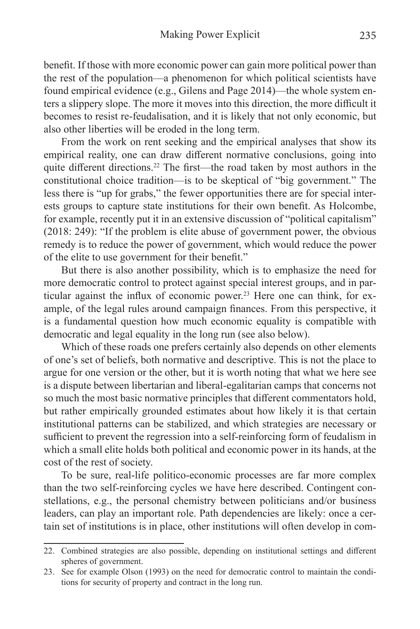benefit. If those with more economic power can gain more political power than the rest of the population—a phenomenon for which political scientists have found empirical evidence (e.g., Gilens and Page 2014)—the whole system enters a slippery slope. The more it moves into this direction, the more difficult it becomes to resist re-feudalisation, and it is likely that not only economic, but also other liberties will be eroded in the long term.

From the work on rent seeking and the empirical analyses that show its empirical reality, one can draw different normative conclusions, going into quite different directions.<sup>22</sup> The first—the road taken by most authors in the constitutional choice tradition—is to be skeptical of "big government." The less there is "up for grabs," the fewer opportunities there are for special interests groups to capture state institutions for their own benefit. As Holcombe, for example, recently put it in an extensive discussion of "political capitalism" (2018: 249): "If the problem is elite abuse of government power, the obvious remedy is to reduce the power of government, which would reduce the power of the elite to use government for their benefit."

But there is also another possibility, which is to emphasize the need for more democratic control to protect against special interest groups, and in particular against the influx of economic power.<sup>23</sup> Here one can think, for example, of the legal rules around campaign finances. From this perspective, it is a fundamental question how much economic equality is compatible with democratic and legal equality in the long run (see also below).

Which of these roads one prefers certainly also depends on other elements of one's set of beliefs, both normative and descriptive. This is not the place to argue for one version or the other, but it is worth noting that what we here see is a dispute between libertarian and liberal-egalitarian camps that concerns not so much the most basic normative principles that different commentators hold, but rather empirically grounded estimates about how likely it is that certain institutional patterns can be stabilized, and which strategies are necessary or sufficient to prevent the regression into a self-reinforcing form of feudalism in which a small elite holds both political and economic power in its hands, at the cost of the rest of society.

To be sure, real-life politico-economic processes are far more complex than the two self-reinforcing cycles we have here described. Contingent constellations, e.g., the personal chemistry between politicians and/or business leaders, can play an important role. Path dependencies are likely: once a certain set of institutions is in place, other institutions will often develop in com-

<sup>22.</sup> Combined strategies are also possible, depending on institutional settings and different spheres of government.

<sup>23.</sup> See for example Olson (1993) on the need for democratic control to maintain the conditions for security of property and contract in the long run.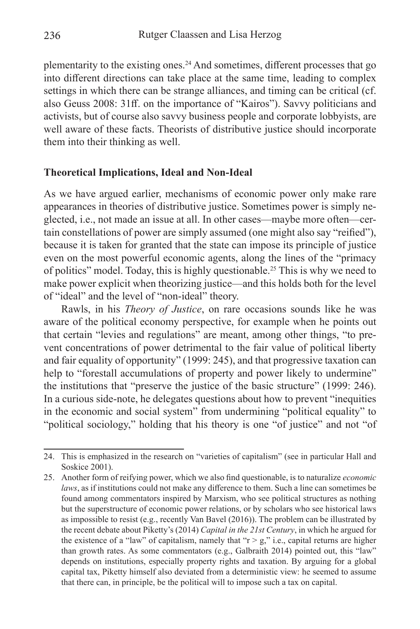plementarity to the existing ones.24 And sometimes, different processes that go into different directions can take place at the same time, leading to complex settings in which there can be strange alliances, and timing can be critical (cf. also Geuss 2008: 31ff. on the importance of "Kairos"). Savvy politicians and activists, but of course also savvy business people and corporate lobbyists, are well aware of these facts. Theorists of distributive justice should incorporate them into their thinking as well.

#### **Theoretical Implications, Ideal and Non-Ideal**

As we have argued earlier, mechanisms of economic power only make rare appearances in theories of distributive justice. Sometimes power is simply neglected, i.e., not made an issue at all. In other cases—maybe more often—certain constellations of power are simply assumed (one might also say "reified"), because it is taken for granted that the state can impose its principle of justice even on the most powerful economic agents, along the lines of the "primacy of politics" model. Today, this is highly questionable.25 This is why we need to make power explicit when theorizing justice—and this holds both for the level of "ideal" and the level of "non-ideal" theory.

Rawls, in his *Theory of Justice*, on rare occasions sounds like he was aware of the political economy perspective, for example when he points out that certain "levies and regulations" are meant, among other things, "to prevent concentrations of power detrimental to the fair value of political liberty and fair equality of opportunity" (1999: 245), and that progressive taxation can help to "forestall accumulations of property and power likely to undermine" the institutions that "preserve the justice of the basic structure" (1999: 246). In a curious side-note, he delegates questions about how to prevent "inequities in the economic and social system" from undermining "political equality" to "political sociology," holding that his theory is one "of justice" and not "of

<sup>24.</sup> This is emphasized in the research on "varieties of capitalism" (see in particular Hall and Soskice 2001).

<sup>25.</sup> Another form of reifying power, which we also find questionable, is to naturalize *economic laws*, as if institutions could not make any difference to them. Such a line can sometimes be found among commentators inspired by Marxism, who see political structures as nothing but the superstructure of economic power relations, or by scholars who see historical laws as impossible to resist (e.g., recently Van Bavel (2016)). The problem can be illustrated by the recent debate about Piketty's (2014) *Capital in the 21st Century*, in which he argued for the existence of a "law" of capitalism, namely that " $r > g$ ," i.e., capital returns are higher than growth rates. As some commentators (e.g., Galbraith 2014) pointed out, this "law" depends on institutions, especially property rights and taxation. By arguing for a global capital tax, Piketty himself also deviated from a deterministic view: he seemed to assume that there can, in principle, be the political will to impose such a tax on capital.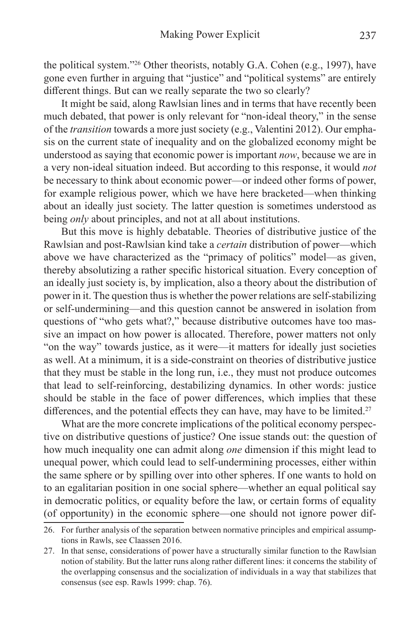the political system."26 Other theorists, notably G.A. Cohen (e.g., 1997), have gone even further in arguing that "justice" and "political systems" are entirely different things. But can we really separate the two so clearly?

It might be said, along Rawlsian lines and in terms that have recently been much debated, that power is only relevant for "non-ideal theory," in the sense of the *transition* towards a more just society (e.g., Valentini 2012). Our emphasis on the current state of inequality and on the globalized economy might be understood as saying that economic power is important *now*, because we are in a very non-ideal situation indeed. But according to this response, it would *not*  be necessary to think about economic power—or indeed other forms of power, for example religious power, which we have here bracketed—when thinking about an ideally just society. The latter question is sometimes understood as being *only* about principles, and not at all about institutions.

But this move is highly debatable. Theories of distributive justice of the Rawlsian and post-Rawlsian kind take a *certain* distribution of power—which above we have characterized as the "primacy of politics" model—as given, thereby absolutizing a rather specific historical situation. Every conception of an ideally just society is, by implication, also a theory about the distribution of power in it. The question thus is whether the power relations are self-stabilizing or self-undermining—and this question cannot be answered in isolation from questions of "who gets what?," because distributive outcomes have too massive an impact on how power is allocated. Therefore, power matters not only "on the way" towards justice, as it were—it matters for ideally just societies as well. At a minimum, it is a side-constraint on theories of distributive justice that they must be stable in the long run, i.e., they must not produce outcomes that lead to self-reinforcing, destabilizing dynamics. In other words: justice should be stable in the face of power differences, which implies that these differences, and the potential effects they can have, may have to be limited.<sup>27</sup>

What are the more concrete implications of the political economy perspective on distributive questions of justice? One issue stands out: the question of how much inequality one can admit along *one* dimension if this might lead to unequal power, which could lead to self-undermining processes, either within the same sphere or by spilling over into other spheres. If one wants to hold on to an egalitarian position in one social sphere—whether an equal political say in democratic politics, or equality before the law, or certain forms of equality (of opportunity) in the economic sphere—one should not ignore power dif-

<sup>26.</sup> For further analysis of the separation between normative principles and empirical assumptions in Rawls, see Claassen 2016.

<sup>27.</sup> In that sense, considerations of power have a structurally similar function to the Rawlsian notion of stability. But the latter runs along rather different lines: it concerns the stability of the overlapping consensus and the socialization of individuals in a way that stabilizes that consensus (see esp. Rawls 1999: chap. 76).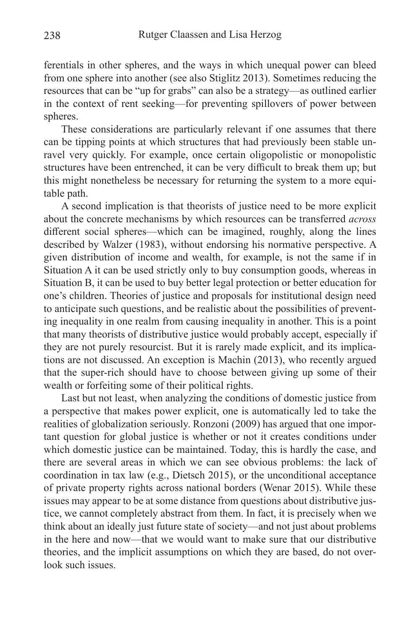ferentials in other spheres, and the ways in which unequal power can bleed from one sphere into another (see also Stiglitz 2013). Sometimes reducing the resources that can be "up for grabs" can also be a strategy—as outlined earlier in the context of rent seeking—for preventing spillovers of power between spheres.

These considerations are particularly relevant if one assumes that there can be tipping points at which structures that had previously been stable unravel very quickly. For example, once certain oligopolistic or monopolistic structures have been entrenched, it can be very difficult to break them up; but this might nonetheless be necessary for returning the system to a more equitable path.

A second implication is that theorists of justice need to be more explicit about the concrete mechanisms by which resources can be transferred *across* different social spheres—which can be imagined, roughly, along the lines described by Walzer (1983), without endorsing his normative perspective. A given distribution of income and wealth, for example, is not the same if in Situation A it can be used strictly only to buy consumption goods, whereas in Situation B, it can be used to buy better legal protection or better education for one's children. Theories of justice and proposals for institutional design need to anticipate such questions, and be realistic about the possibilities of preventing inequality in one realm from causing inequality in another. This is a point that many theorists of distributive justice would probably accept, especially if they are not purely resourcist. But it is rarely made explicit, and its implications are not discussed. An exception is Machin (2013), who recently argued that the super-rich should have to choose between giving up some of their wealth or forfeiting some of their political rights.

Last but not least, when analyzing the conditions of domestic justice from a perspective that makes power explicit, one is automatically led to take the realities of globalization seriously. Ronzoni (2009) has argued that one important question for global justice is whether or not it creates conditions under which domestic justice can be maintained. Today, this is hardly the case, and there are several areas in which we can see obvious problems: the lack of coordination in tax law (e.g., Dietsch 2015), or the unconditional acceptance of private property rights across national borders (Wenar 2015). While these issues may appear to be at some distance from questions about distributive justice, we cannot completely abstract from them. In fact, it is precisely when we think about an ideally just future state of society—and not just about problems in the here and now—that we would want to make sure that our distributive theories, and the implicit assumptions on which they are based, do not overlook such issues.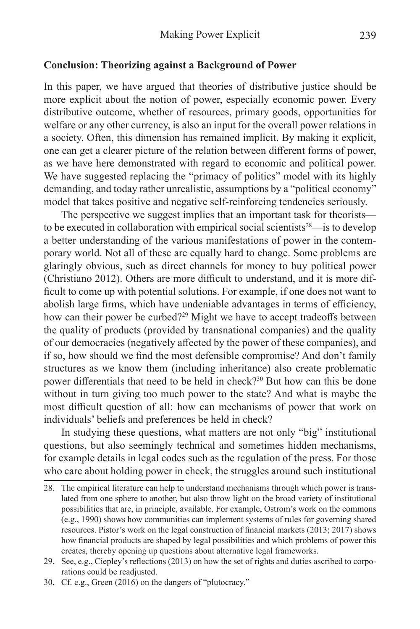#### **Conclusion: Theorizing against a Background of Power**

In this paper, we have argued that theories of distributive justice should be more explicit about the notion of power, especially economic power. Every distributive outcome, whether of resources, primary goods, opportunities for welfare or any other currency, is also an input for the overall power relations in a society. Often, this dimension has remained implicit. By making it explicit, one can get a clearer picture of the relation between different forms of power, as we have here demonstrated with regard to economic and political power. We have suggested replacing the "primacy of politics" model with its highly demanding, and today rather unrealistic, assumptions by a "political economy" model that takes positive and negative self-reinforcing tendencies seriously.

The perspective we suggest implies that an important task for theorists to be executed in collaboration with empirical social scientists<sup>28</sup>—is to develop a better understanding of the various manifestations of power in the contemporary world. Not all of these are equally hard to change. Some problems are glaringly obvious, such as direct channels for money to buy political power (Christiano 2012). Others are more difficult to understand, and it is more difficult to come up with potential solutions. For example, if one does not want to abolish large firms, which have undeniable advantages in terms of efficiency, how can their power be curbed?<sup>29</sup> Might we have to accept tradeoffs between the quality of products (provided by transnational companies) and the quality of our democracies (negatively affected by the power of these companies), and if so, how should we find the most defensible compromise? And don't family structures as we know them (including inheritance) also create problematic power differentials that need to be held in check?30 But how can this be done without in turn giving too much power to the state? And what is maybe the most difficult question of all: how can mechanisms of power that work on individuals' beliefs and preferences be held in check?

In studying these questions, what matters are not only "big" institutional questions, but also seemingly technical and sometimes hidden mechanisms, for example details in legal codes such as the regulation of the press. For those who care about holding power in check, the struggles around such institutional

<sup>28.</sup> The empirical literature can help to understand mechanisms through which power is translated from one sphere to another, but also throw light on the broad variety of institutional possibilities that are, in principle, available. For example, Ostrom's work on the commons (e.g., 1990) shows how communities can implement systems of rules for governing shared resources. Pistor's work on the legal construction of financial markets (2013; 2017) shows how financial products are shaped by legal possibilities and which problems of power this creates, thereby opening up questions about alternative legal frameworks.

<sup>29.</sup> See, e.g., Ciepley's reflections (2013) on how the set of rights and duties ascribed to corporations could be readjusted.

<sup>30.</sup> Cf. e.g., Green (2016) on the dangers of "plutocracy."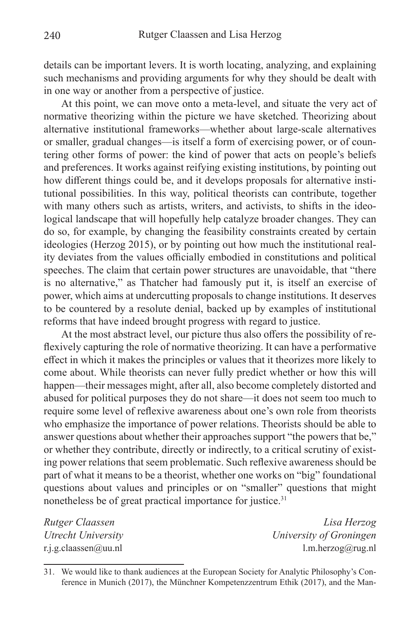details can be important levers. It is worth locating, analyzing, and explaining such mechanisms and providing arguments for why they should be dealt with in one way or another from a perspective of justice.

At this point, we can move onto a meta-level, and situate the very act of normative theorizing within the picture we have sketched. Theorizing about alternative institutional frameworks—whether about large-scale alternatives or smaller, gradual changes—is itself a form of exercising power, or of countering other forms of power: the kind of power that acts on people's beliefs and preferences. It works against reifying existing institutions, by pointing out how different things could be, and it develops proposals for alternative institutional possibilities. In this way, political theorists can contribute, together with many others such as artists, writers, and activists, to shifts in the ideological landscape that will hopefully help catalyze broader changes. They can do so, for example, by changing the feasibility constraints created by certain ideologies (Herzog 2015), or by pointing out how much the institutional reality deviates from the values officially embodied in constitutions and political speeches. The claim that certain power structures are unavoidable, that "there is no alternative," as Thatcher had famously put it, is itself an exercise of power, which aims at undercutting proposals to change institutions. It deserves to be countered by a resolute denial, backed up by examples of institutional reforms that have indeed brought progress with regard to justice.

At the most abstract level, our picture thus also offers the possibility of reflexively capturing the role of normative theorizing. It can have a performative effect in which it makes the principles or values that it theorizes more likely to come about. While theorists can never fully predict whether or how this will happen—their messages might, after all, also become completely distorted and abused for political purposes they do not share—it does not seem too much to require some level of reflexive awareness about one's own role from theorists who emphasize the importance of power relations. Theorists should be able to answer questions about whether their approaches support "the powers that be," or whether they contribute, directly or indirectly, to a critical scrutiny of existing power relations that seem problematic. Such reflexive awareness should be part of what it means to be a theorist, whether one works on "big" foundational questions about values and principles or on "smaller" questions that might nonetheless be of great practical importance for justice.<sup>31</sup>

*Rutger Claassen Lisa Herzog Utrecht University University of Groningen* r.j.g.claassen@uu.nl  $1.m.$ herzog@rug.nl

<sup>31.</sup> We would like to thank audiences at the European Society for Analytic Philosophy's Conference in Munich (2017), the Münchner Kompetenzzentrum Ethik (2017), and the Man-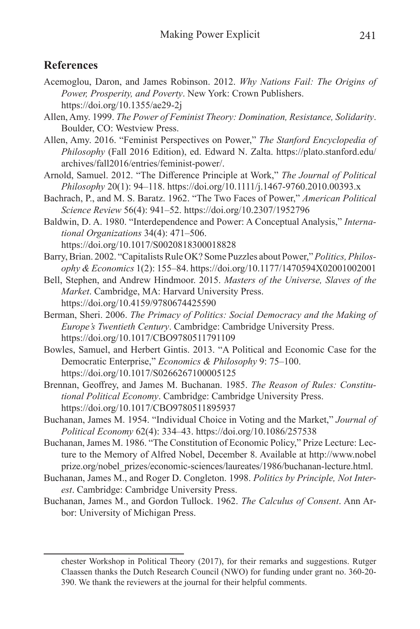# **References**

- Acemoglou, Daron, and James Robinson. 2012. *Why Nations Fail: The Origins of Power, Prosperity, and Poverty*. New York: Crown Publishers. https://doi.org/10.1355/ae29-2j
- Allen, Amy. 1999. *The Power of Feminist Theory: Domination, Resistance, Solidarity*. Boulder, CO: Westview Press.
- Allen, Amy. 2016. "Feminist Perspectives on Power," *The Stanford Encyclopedia of Philosophy* (Fall 2016 Edition), ed. Edward N. Zalta. https://plato.stanford.edu/ archives/fall2016/entries/feminist-power/.
- Arnold, Samuel. 2012. "The Difference Principle at Work," *The Journal of Political Philosophy* 20(1): 94–118. https://doi.org/10.1111/j.1467-9760.2010.00393.x
- Bachrach, P., and M. S. Baratz. 1962. "The Two Faces of Power," *American Political Science Review* 56(4): 941–52. https://doi.org/10.2307/1952796
- Baldwin, D. A. 1980. "Interdependence and Power: A Conceptual Analysis," *International Organizations* 34(4): 471–506. https://doi.org/10.1017/S0020818300018828
- Barry, Brian. 2002. "Capitalists Rule OK? Some Puzzles about Power," *Politics, Philosophy & Economics* 1(2): 155–84. https://doi.org/10.1177/1470594X02001002001
- Bell, Stephen, and Andrew Hindmoor. 2015. *Masters of the Universe, Slaves of the Market*. Cambridge, MA: Harvard University Press. https://doi.org/10.4159/9780674425590
- Berman, Sheri. 2006. *The Primacy of Politics: Social Democracy and the Making of Europe's Twentieth Century*. Cambridge: Cambridge University Press. https://doi.org/10.1017/CBO9780511791109
- Bowles, Samuel, and Herbert Gintis. 2013. "A Political and Economic Case for the Democratic Enterprise," *Economics & Philosophy* 9: 75–100. https://doi.org/10.1017/S0266267100005125
- Brennan, Geoffrey, and James M. Buchanan. 1985. *The Reason of Rules: Constitutional Political Economy*. Cambridge: Cambridge University Press. https://doi.org/10.1017/CBO9780511895937
- Buchanan, James M. 1954. "Individual Choice in Voting and the Market," *Journal of Political Economy* 62(4): 334–43. https://doi.org/10.1086/257538
- Buchanan, James M. 1986. "The Constitution of Economic Policy," Prize Lecture: Lecture to the Memory of Alfred Nobel, December 8. Available at http://www.nobel prize.org/nobel\_prizes/economic-sciences/laureates/1986/buchanan-lecture.html.
- Buchanan, James M., and Roger D. Congleton. 1998. *Politics by Principle, Not Interest*. Cambridge: Cambridge University Press.
- Buchanan, James M., and Gordon Tullock. 1962. *The Calculus of Consent*. Ann Arbor: University of Michigan Press.

chester Workshop in Political Theory (2017), for their remarks and suggestions. Rutger Claassen thanks the Dutch Research Council (NWO) for funding under grant no. 360-20- 390. We thank the reviewers at the journal for their helpful comments.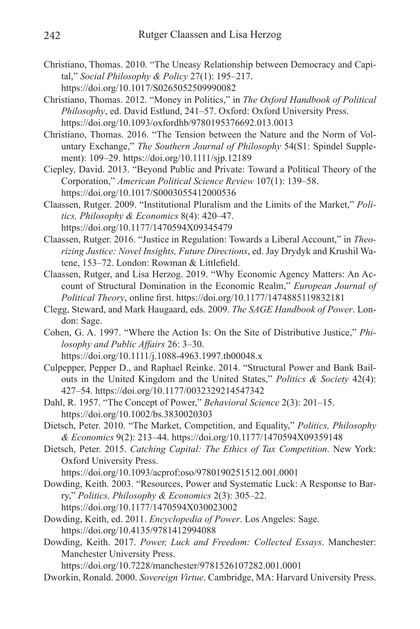- Christiano, Thomas. 2010. "The Uneasy Relationship between Democracy and Capital," *Social Philosophy & Policy* 27(1): 195–217. https://doi.org/10.1017/S0265052509990082
- Christiano, Thomas. 2012. "Money in Politics," in *The Oxford Handbook of Political Philosophy*, ed. David Estlund, 241–57. Oxford: Oxford University Press. https://doi.org/10.1093/oxfordhb/9780195376692.013.0013
- Christiano, Thomas. 2016. "The Tension between the Nature and the Norm of Voluntary Exchange," *The Southern Journal of Philosophy* 54(S1: Spindel Supplement): 109–29. https://doi.org/10.1111/sjp.12189
- Ciepley, David. 2013. "Beyond Public and Private: Toward a Political Theory of the Corporation," *American Political Science Review* 107(1): 139–58. https://doi.org/10.1017/S0003055412000536
- Claassen, Rutger. 2009. "Institutional Pluralism and the Limits of the Market," *Politics, Philosophy & Economics* 8(4): 420–47. https://doi.org/10.1177/1470594X09345479
- Claassen, Rutger. 2016. "Justice in Regulation: Towards a Liberal Account," in *Theorizing Justice: Novel Insights, Future Directions*, ed. Jay Drydyk and Krushil Watene, 153–72. London: Rowman & Littlefield.
- Claassen, Rutger, and Lisa Herzog. 2019. "Why Economic Agency Matters: An Account of Structural Domination in the Economic Realm," *European Journal of Political Theory*, online first. https://doi.org/10.1177/1474885119832181
- Clegg, Steward, and Mark Haugaard, eds. 2009. *The SAGE Handbook of Power*. London: Sage.
- Cohen, G. A. 1997. "Where the Action Is: On the Site of Distributive Justice," *Philosophy and Public Affairs* 26: 3–30.
	- https://doi.org/10.1111/j.1088-4963.1997.tb00048.x
- Culpepper, Pepper D., and Raphael Reinke. 2014. "Structural Power and Bank Bailouts in the United Kingdom and the United States," *Politics & Society* 42(4): 427–54. https://doi.org/10.1177/0032329214547342
- Dahl, R. 1957. "The Concept of Power," *Behavioral Science* 2(3): 201–15. https://doi.org/10.1002/bs.3830020303
- Dietsch, Peter. 2010. "The Market, Competition, and Equality," *Politics, Philosophy & Economics* 9(2): 213–44. https://doi.org/10.1177/1470594X09359148
- Dietsch, Peter. 2015. *Catching Capital: The Ethics of Tax Competition*. New York: Oxford University Press.
	- https://doi.org/10.1093/acprof:oso/9780190251512.001.0001
- Dowding, Keith. 2003. "Resources, Power and Systematic Luck: A Response to Barry," *Politics, Philosophy & Economics* 2(3): 305–22. https://doi.org/10.1177/1470594X030023002
- Dowding, Keith, ed. 2011. *Encyclopedia of Power*. Los Angeles: Sage. https://doi.org/10.4135/9781412994088
- Dowding, Keith. 2017. *Power, Luck and Freedom: Collected Essays*. Manchester: Manchester University Press.

https://doi.org/10.7228/manchester/9781526107282.001.0001

Dworkin, Ronald. 2000. *Sovereign Virtue*. Cambridge, MA: Harvard University Press.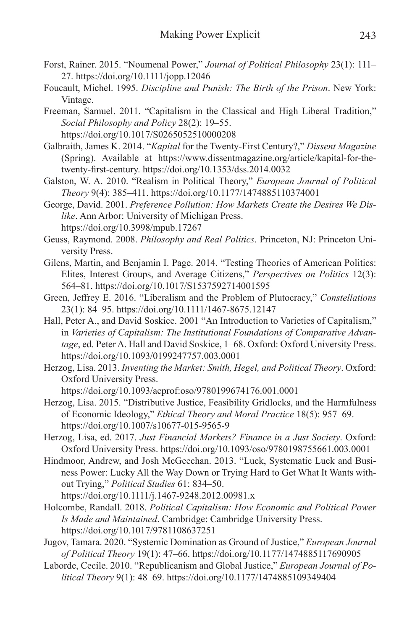- Forst, Rainer. 2015. "Noumenal Power," *Journal of Political Philosophy* 23(1): 111– 27. https://doi.org/10.1111/jopp.12046
- Foucault, Michel. 1995. *Discipline and Punish: The Birth of the Prison*. New York: Vintage.
- Freeman, Samuel. 2011. "Capitalism in the Classical and High Liberal Tradition," *Social Philosophy and Policy* 28(2): 19–55. https://doi.org/10.1017/S0265052510000208
- Galbraith, James K. 2014. "*Kapital* for the Twenty-First Century?," *Dissent Magazine* (Spring). Available at https://www.dissentmagazine.org/article/kapital-for-thetwenty-first-century. https://doi.org/10.1353/dss.2014.0032
- Galston, W. A. 2010. "Realism in Political Theory," *European Journal of Political Theory* 9(4): 385–411. https://doi.org/10.1177/1474885110374001
- George, David. 2001. *Preference Pollution: How Markets Create the Desires We Dislike*. Ann Arbor: University of Michigan Press. https://doi.org/10.3998/mpub.17267
- Geuss, Raymond. 2008. *Philosophy and Real Politics*. Princeton, NJ: Princeton University Press.
- Gilens, Martin, and Benjamin I. Page. 2014. "Testing Theories of American Politics: Elites, Interest Groups, and Average Citizens," *Perspectives on Politics* 12(3): 564–81. https://doi.org/10.1017/S1537592714001595
- Green, Jeffrey E. 2016. "Liberalism and the Problem of Plutocracy," *Constellations*  23(1): 84–95. https://doi.org/10.1111/1467-8675.12147
- Hall, Peter A., and David Soskice. 2001 "An Introduction to Varieties of Capitalism," in *Varieties of Capitalism: The Institutional Foundations of Comparative Advantage*, ed. Peter A. Hall and David Soskice, 1–68. Oxford: Oxford University Press. https://doi.org/10.1093/0199247757.003.0001
- Herzog, Lisa. 2013. *Inventing the Market: Smith, Hegel, and Political Theory*. Oxford: Oxford University Press.

https://doi.org/10.1093/acprof:oso/9780199674176.001.0001

- Herzog, Lisa. 2015. "Distributive Justice, Feasibility Gridlocks, and the Harmfulness of Economic Ideology," *Ethical Theory and Moral Practice* 18(5): 957–69. https://doi.org/10.1007/s10677-015-9565-9
- Herzog, Lisa, ed. 2017. *Just Financial Markets? Finance in a Just Society*. Oxford: Oxford University Press. https://doi.org/10.1093/oso/9780198755661.003.0001
- Hindmoor, Andrew, and Josh McGeechan. 2013. "Luck, Systematic Luck and Business Power: Lucky All the Way Down or Trying Hard to Get What It Wants without Trying," *Political Studies* 61: 834–50.

https://doi.org/10.1111/j.1467-9248.2012.00981.x

- Holcombe, Randall. 2018. *Political Capitalism: How Economic and Political Power Is Made and Maintained*. Cambridge: Cambridge University Press. https://doi.org/10.1017/9781108637251
- Jugov, Tamara. 2020. "Systemic Domination as Ground of Justice," *European Journal of Political Theory* 19(1): 47–66. https://doi.org/10.1177/1474885117690905
- Laborde, Cecile. 2010. "Republicanism and Global Justice," *European Journal of Political Theory* 9(1): 48–69. https://doi.org/10.1177/1474885109349404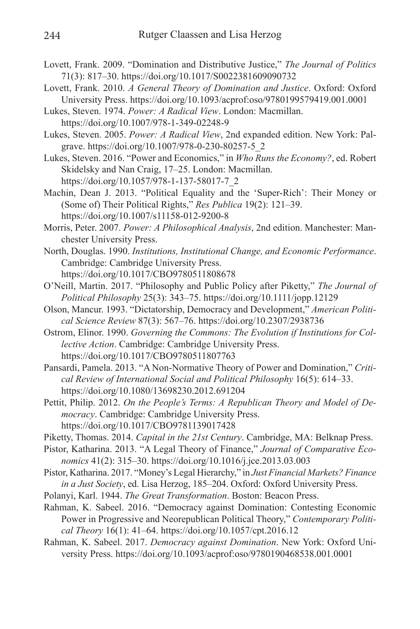- Lovett, Frank. 2009. "Domination and Distributive Justice," *The Journal of Politics*  71(3): 817–30. https://doi.org/10.1017/S0022381609090732
- Lovett, Frank. 2010. *A General Theory of Domination and Justice*. Oxford: Oxford University Press. https://doi.org/10.1093/acprof:oso/9780199579419.001.0001
- Lukes, Steven. 1974. *Power: A Radical View*. London: Macmillan. https://doi.org/10.1007/978-1-349-02248-9
- Lukes, Steven. 2005. *Power: A Radical View*, 2nd expanded edition. New York: Palgrave. https://doi.org/10.1007/978-0-230-80257-5\_2
- Lukes, Steven. 2016. "Power and Economics," in *Who Runs the Economy?*, ed. Robert Skidelsky and Nan Craig, 17–25. London: Macmillan. https://doi.org/10.1057/978-1-137-58017-7\_2
- Machin, Dean J. 2013. "Political Equality and the 'Super-Rich': Their Money or (Some of) Their Political Rights," *Res Publica* 19(2): 121–39. https://doi.org/10.1007/s11158-012-9200-8
- Morris, Peter. 2007. *Power: A Philosophical Analysis*, 2nd edition. Manchester: Manchester University Press.
- North, Douglas. 1990. *Institutions, Institutional Change, and Economic Performance*. Cambridge: Cambridge University Press.
	- https://doi.org/10.1017/CBO9780511808678
- O'Neill, Martin. 2017. "Philosophy and Public Policy after Piketty," *The Journal of Political Philosophy* 25(3): 343–75. https://doi.org/10.1111/jopp.12129
- Olson, Mancur. 1993. "Dictatorship, Democracy and Development," *American Political Science Review* 87(3): 567–76. https://doi.org/10.2307/2938736
- Ostrom, Elinor. 1990. *Governing the Commons: The Evolution if Institutions for Collective Action*. Cambridge: Cambridge University Press. https://doi.org/10.1017/CBO9780511807763
- Pansardi, Pamela. 2013. "A Non-Normative Theory of Power and Domination," *Critical Review of International Social and Political Philosophy* 16(5): 614–33. https://doi.org/10.1080/13698230.2012.691204
- Pettit, Philip. 2012. *On the People's Terms: A Republican Theory and Model of Democracy*. Cambridge: Cambridge University Press. https://doi.org/10.1017/CBO9781139017428
- Piketty, Thomas. 2014. *Capital in the 21st Century*. Cambridge, MA: Belknap Press.
- Pistor, Katharina. 2013. "A Legal Theory of Finance," *Journal of Comparative Economics* 41(2): 315–30. https://doi.org/10.1016/j.jce.2013.03.003
- Pistor, Katharina. 2017. "Money's Legal Hierarchy," in *Just Financial Markets? Finance in a Just Society*, ed. Lisa Herzog, 185–204. Oxford: Oxford University Press.
- Polanyi, Karl. 1944. *The Great Transformation*. Boston: Beacon Press.
- Rahman, K. Sabeel. 2016. "Democracy against Domination: Contesting Economic Power in Progressive and Neorepublican Political Theory," *Contemporary Political Theory* 16(1): 41–64. https://doi.org/10.1057/cpt.2016.12
- Rahman, K. Sabeel. 2017. *Democracy against Domination*. New York: Oxford University Press. https://doi.org/10.1093/acprof:oso/9780190468538.001.0001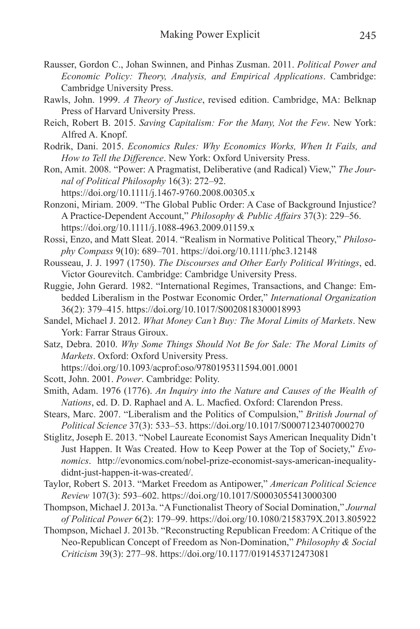- Rausser, Gordon C., Johan Swinnen, and Pinhas Zusman. 2011. *Political Power and Economic Policy: Theory, Analysis, and Empirical Applications*. Cambridge: Cambridge University Press.
- Rawls, John. 1999. *A Theory of Justice*, revised edition. Cambridge, MA: Belknap Press of Harvard University Press.
- Reich, Robert B. 2015. *Saving Capitalism: For the Many, Not the Few*. New York: Alfred A. Knopf.
- Rodrik, Dani. 2015. *Economics Rules: Why Economics Works, When It Fails, and How to Tell the Difference*. New York: Oxford University Press.
- Ron, Amit. 2008. "Power: A Pragmatist, Deliberative (and Radical) View," *The Journal of Political Philosophy* 16(3): 272–92.
	- https://doi.org/10.1111/j.1467-9760.2008.00305.x
- Ronzoni, Miriam. 2009. "The Global Public Order: A Case of Background Injustice? A Practice-Dependent Account," *Philosophy & Public Affairs* 37(3): 229–56. https://doi.org/10.1111/j.1088-4963.2009.01159.x
- Rossi, Enzo, and Matt Sleat. 2014. "Realism in Normative Political Theory," *Philosophy Compass* 9(10): 689–701. https://doi.org/10.1111/phc3.12148
- Rousseau, J. J. 1997 (1750). *The Discourses and Other Early Political Writings*, ed. Victor Gourevitch. Cambridge: Cambridge University Press.
- Ruggie, John Gerard. 1982. "International Regimes, Transactions, and Change: Embedded Liberalism in the Postwar Economic Order," *International Organization* 36(2): 379–415. https://doi.org/10.1017/S0020818300018993
- Sandel, Michael J. 2012. *What Money Can't Buy: The Moral Limits of Markets*. New York: Farrar Straus Giroux.
- Satz, Debra. 2010. *Why Some Things Should Not Be for Sale: The Moral Limits of Markets*. Oxford: Oxford University Press.
	- https://doi.org/10.1093/acprof:oso/9780195311594.001.0001
- Scott, John. 2001. *Power*. Cambridge: Polity.
- Smith, Adam. 1976 (1776). *An Inquiry into the Nature and Causes of the Wealth of Nations*, ed. D. D. Raphael and A. L. Macfied. Oxford: Clarendon Press.
- Stears, Marc. 2007. "Liberalism and the Politics of Compulsion," *British Journal of Political Science* 37(3): 533–53. https://doi.org/10.1017/S0007123407000270
- Stiglitz, Joseph E. 2013. "Nobel Laureate Economist Says American Inequality Didn't Just Happen. It Was Created. How to Keep Power at the Top of Society," *Evonomics*. http://evonomics.com/nobel-prize-economist-says-american-inequalitydidnt-just-happen-it-was-created/.
- Taylor, Robert S. 2013. "Market Freedom as Antipower," *American Political Science Review* 107(3): 593–602. https://doi.org/10.1017/S0003055413000300
- Thompson, Michael J. 2013a. "A Functionalist Theory of Social Domination," *Journal of Political Power* 6(2): 179–99. https://doi.org/10.1080/2158379X.2013.805922
- Thompson, Michael J. 2013b. "Reconstructing Republican Freedom: A Critique of the Neo-Republican Concept of Freedom as Non-Domination," *Philosophy & Social Criticism* 39(3): 277–98. https://doi.org/10.1177/0191453712473081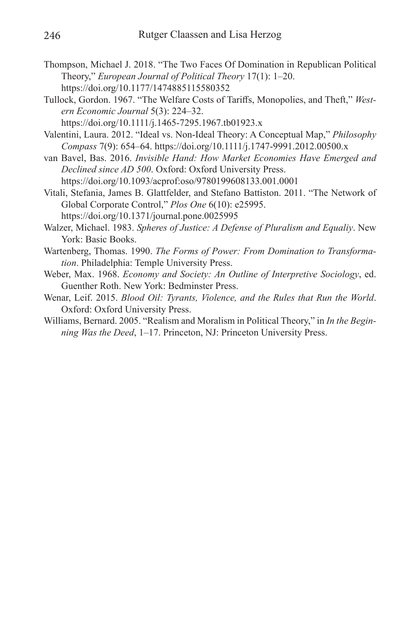- Thompson, Michael J. 2018. "The Two Faces Of Domination in Republican Political Theory," *European Journal of Political Theory* 17(1): 1–20. https://doi.org/10.1177/1474885115580352
- Tullock, Gordon. 1967. "The Welfare Costs of Tariffs, Monopolies, and Theft," *Western Economic Journal* 5(3): 224–32.
	- https://doi.org/10.1111/j.1465-7295.1967.tb01923.x
- Valentini, Laura. 2012. "Ideal vs. Non-Ideal Theory: A Conceptual Map," *Philosophy Compass* 7(9): 654–64. https://doi.org/10.1111/j.1747-9991.2012.00500.x
- van Bavel, Bas. 2016. *Invisible Hand: How Market Economies Have Emerged and Declined since AD 500*. Oxford: Oxford University Press.
- https://doi.org/10.1093/acprof:oso/9780199608133.001.0001
- Vitali, Stefania, James B. Glattfelder, and Stefano Battiston. 2011. "The Network of Global Corporate Control," *Plos One* 6(10): e25995. https://doi.org/10.1371/journal.pone.0025995
- Walzer, Michael. 1983. *Spheres of Justice: A Defense of Pluralism and Equaliy*. New York: Basic Books.
- Wartenberg, Thomas. 1990. *The Forms of Power: From Domination to Transformation*. Philadelphia: Temple University Press.
- Weber, Max. 1968. *Economy and Society: An Outline of Interpretive Sociology*, ed. Guenther Roth. New York: Bedminster Press.
- Wenar, Leif. 2015. *Blood Oil: Tyrants, Violence, and the Rules that Run the World*. Oxford: Oxford University Press.
- Williams, Bernard. 2005. "Realism and Moralism in Political Theory," in *In the Beginning Was the Deed*, 1–17. Princeton, NJ: Princeton University Press.